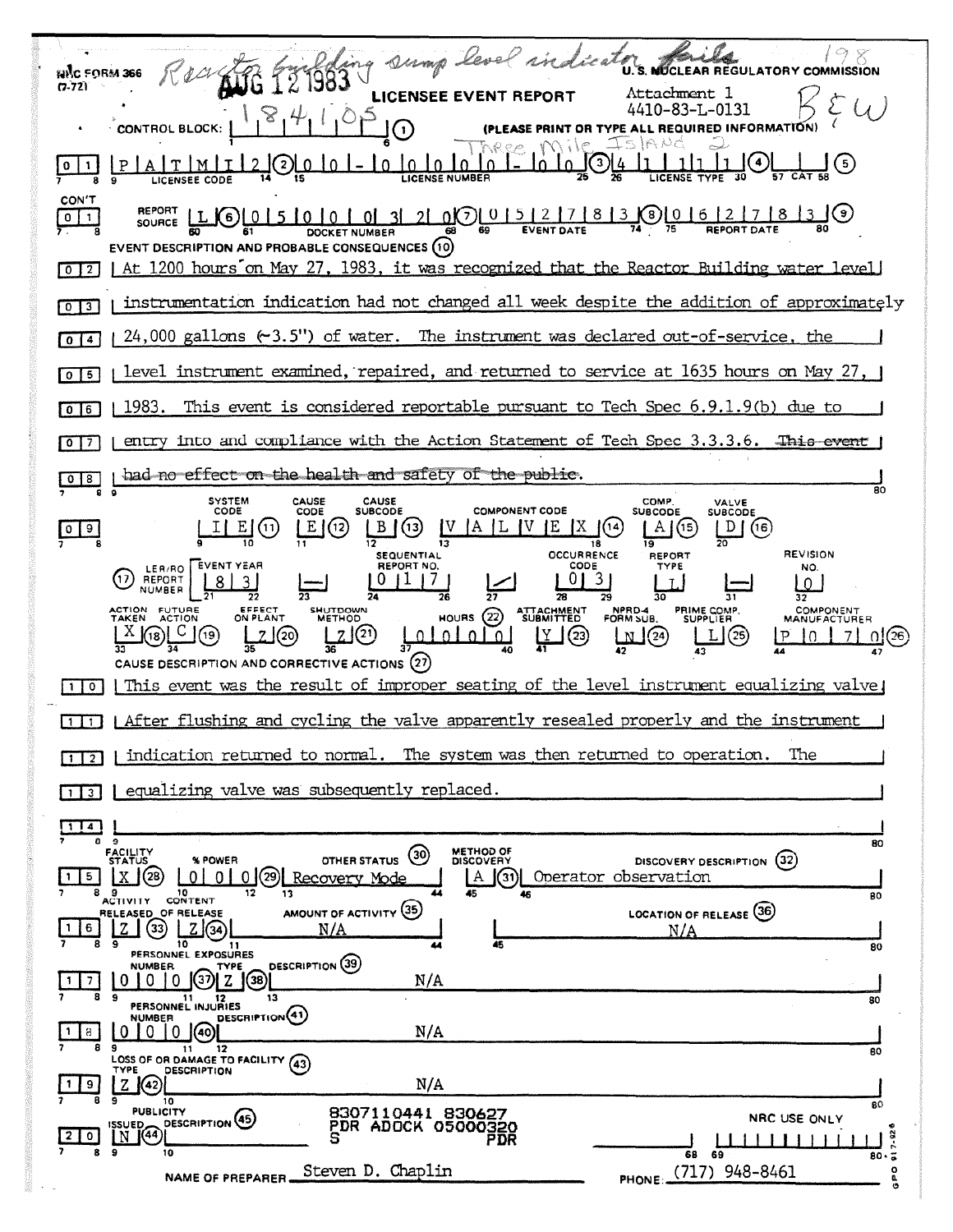| ing sump level ind                                                                                                                                                                                                                                                                                                                                                                                                                       |
|------------------------------------------------------------------------------------------------------------------------------------------------------------------------------------------------------------------------------------------------------------------------------------------------------------------------------------------------------------------------------------------------------------------------------------------|
| UCLEAR REGULATORY COMMISSION<br>มพิก ราคริ <b>น 366</b><br>(7-72)                                                                                                                                                                                                                                                                                                                                                                        |
| Attachment l<br>LICENS<br>0-83-L<br><b>INFORMATION</b><br><b>CONTROL BLOCK:</b><br>$\blacksquare$                                                                                                                                                                                                                                                                                                                                        |
| 3<br>$\left(5\right)$                                                                                                                                                                                                                                                                                                                                                                                                                    |
| CON'T<br>( 9 )  <br>0(7)[015]2]<br>8<br>$\mathbf{B}$<br>3<br>ō<br>6.<br>0<br>$\mathbf{1}$<br>SOURCE<br><b>DOCKET NUMBER</b><br>EVENT DESCRIPTION AND PROBABLE CONSEQUENCES (10)<br>At 1200 hours on May 27, 1983, it was recognized that the Reactor Building water level<br>$\overline{0}$   2                                                                                                                                          |
| instrumentation indication had not changed all week despite the addition of approximately<br>$\overline{0}$ 3                                                                                                                                                                                                                                                                                                                            |
| 24,000 gallons $(\div 3.5")$ of water. The instrument was declared out-of-service, the<br>$\mathbf{0}$<br>4                                                                                                                                                                                                                                                                                                                              |
| level instrument examined, repaired, and returned to service at 1635 hours on May 27, 1<br>$0$   5                                                                                                                                                                                                                                                                                                                                       |
| This event is considered reportable pursuant to Tech Spec $6.9.1.9(b)$ due to<br>1983.<br>6<br>0                                                                                                                                                                                                                                                                                                                                         |
| into and compliance with the Action Statement of Tech Spec 3.3.3.6.<br>This event<br>entry<br>7<br>0                                                                                                                                                                                                                                                                                                                                     |
| had no effect on the health and safety of the public.<br>8<br>80                                                                                                                                                                                                                                                                                                                                                                         |
| <b>SYSTEM</b><br><b>CAUSE</b><br><b>CAUSE</b><br>COMP.<br>VALVE<br>CODE<br><b>SUBCODE</b><br><b>COMPONENT CODE</b><br>CODE<br><b>SUBCODE</b><br><b>SUBCODE</b><br>Έ<br>В<br>'X.<br>D<br>(13,<br>Α<br>(14<br>A<br>(16)<br>(12)<br>(15<br>019<br>19<br>18<br><b>REVISION</b><br><b>OCCURRENCE</b><br><b>SEQUENTIAL</b><br><b>REPORT</b><br><b>EVENT YEAR</b><br>REPORT NO.<br>CODE<br>TYPE<br>NO.<br>LER/RO<br>3<br>REPORT<br>NUMBER<br>29 |
| ACTION FUTURE<br>EFFECT<br>SHUTDOWN<br>NPRD-4<br>FORM SUB.<br>COMPONENT<br><b>ATTACHMENT</b><br><b>PRIME COMP<br/>SUPPLIER</b><br>(22)<br>ON PLANT<br><b>METHOD</b><br><b>HOURS</b><br>MANUFACTURER<br>[21]<br>(23)<br>Y<br>(25)<br>19<br>(20)<br>O.<br>J(24)<br>$\Omega$<br>$\Omega$<br>N<br>CAUSE DESCRIPTION AND CORRECTIVE ACTIONS (27)                                                                                              |
| This event was the result of improper seating of the level instrument equalizing valve<br>$\circ$                                                                                                                                                                                                                                                                                                                                        |
| I After flushing and cycling the valve apparently resealed properly and the instrument                                                                                                                                                                                                                                                                                                                                                   |
| indication returned to normal. The system was then returned to operation.<br>The<br>$\overline{2}$                                                                                                                                                                                                                                                                                                                                       |
| equalizing valve was subsequently replaced.                                                                                                                                                                                                                                                                                                                                                                                              |
| - 9<br>80<br><b>METHOD OF</b>                                                                                                                                                                                                                                                                                                                                                                                                            |
| FACILITY<br>STATUS<br>(30)<br>OTHER STATUS<br>DISCOVERY DESCRIPTION (32)<br>% POWER<br><b>DISCOVERY</b><br>(28<br>29)<br>Operator observation<br>$\Omega$<br>$\Omega$<br>Recovery Mode<br>(31)I<br>5.<br>A<br>10<br>13.<br>80                                                                                                                                                                                                            |
| CONTENT<br><b>ACTIVITY</b><br>AMOUNT OF ACTIVITY (35)<br>LOCATION OF RELEASE (36)<br>RELEASED OF RELEASE<br>(33)<br>N/A<br>6<br>N/A<br>45<br>10<br>11<br>80<br>PERSONNEL EXPOSURES                                                                                                                                                                                                                                                       |
| DESCRIPTION (39)<br><b>NUMBER</b><br><b>TYPE</b><br>N/A<br>(38)<br>8.<br>-9<br>11<br>13<br>12<br>80<br>PERSONNEL INJURIES                                                                                                                                                                                                                                                                                                                |
| DESCRIPTION (41)<br><b>NUMBER</b><br>N/A<br>$\Omega$<br>8.<br>9<br>12<br>11<br>80                                                                                                                                                                                                                                                                                                                                                        |
| LOSS OF OR DAMAGE TO FACILITY (43)<br><b>DESCRIPTION</b><br>TYPE<br>N/A<br>7.<br>(42)<br>9                                                                                                                                                                                                                                                                                                                                               |
| 10<br>80<br><b>PUBLICITY</b><br>8307110441 830627<br>NRC USE ONLY<br>DESCRIPTION <sup>(45)</sup><br><b>ISSUED</b><br>PDR ADOCK 05000320<br>7.92<br>(44)<br>N<br>0<br>PDR<br>-9<br>10                                                                                                                                                                                                                                                     |
| 68<br>-69<br>80<br>PHONE: (717) 948-8461<br>Steven D. Chaplin<br>۰<br><b>NAME OF PREPARER</b>                                                                                                                                                                                                                                                                                                                                            |

**Committee Committee**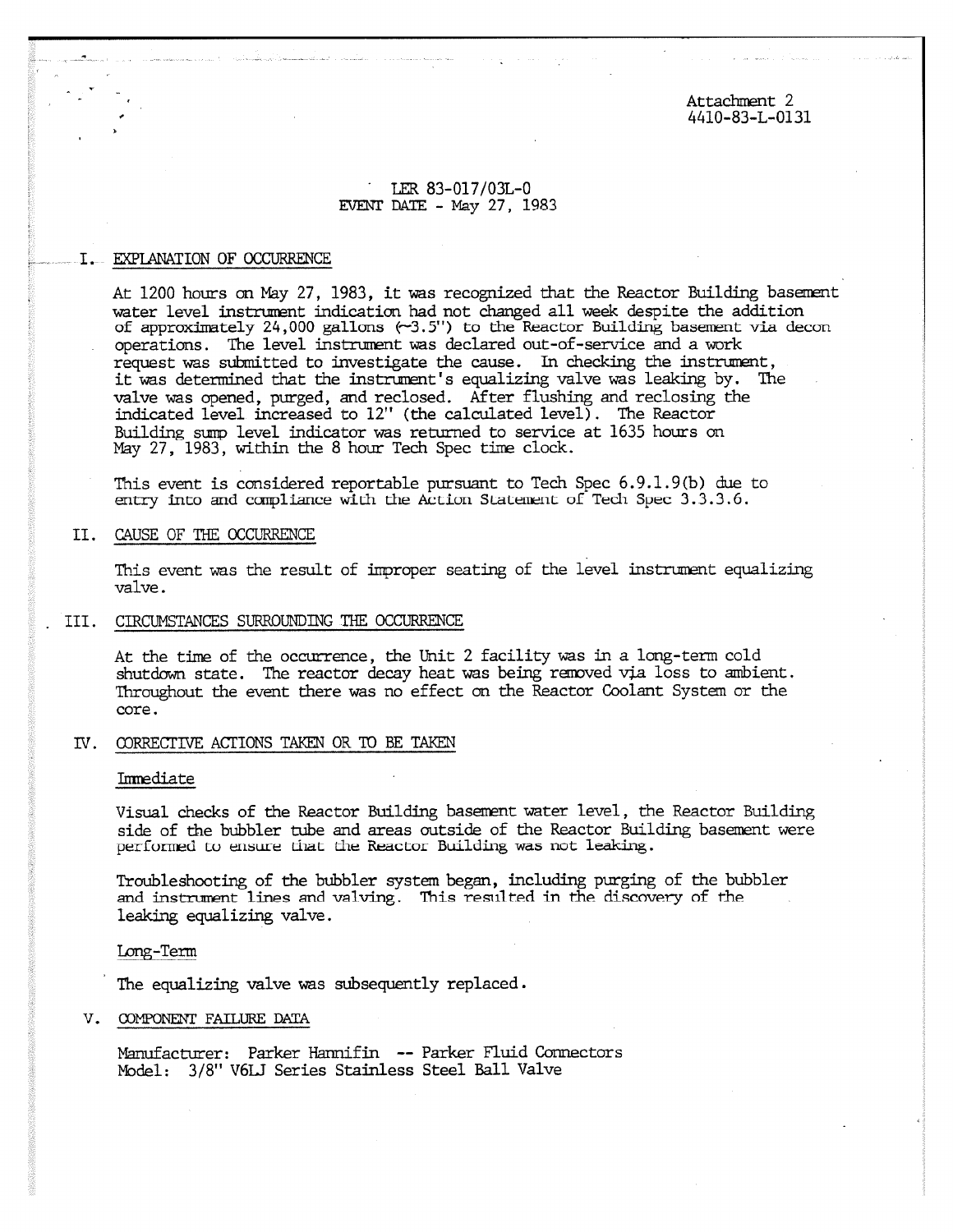Attachment 2 4410-83-L-0131

# • LER 83-017/03L-0 EVENT DATE - May 27, 1983

## I. EXPLANATION OF OCCURRENCE

At 1200 hours on May 27, 1983, it was recognized that the Reactor Building basement water level instrument indication had not changed all week despite the addition of approximately 24,000 gallons (-3.5") to the Reactor Building basement via decon operations. The level instrument was declared out-of-service and a work request was submitted to investigate the cause. In checking the instrument, it was determined that the instrument's equalizing valve was leaking by. The valve was opened, purged, and reclosed. After flushing and reclosing the indicated level increased to 12" (the calculated level). The Reactor Building sump level indicator was returned to service at 1635 hours on May 27, 1983, within the 8 hour Tech Spec time clock.

This event is considered reportable pursuant to Tech Spec 6.9.1.9(b) due to entry into and compliance with the Action Statement of Tech Spec 3.3.3.6.

## II. CAUSE OF THE OCCURRENCE

This event was the result of improper seating of the level instrument equalizing valve.

## . III. CIRCUMSTANCES SURROUNDING THE OCCURRENCE

At the time of the occurrence, the Unit 2 facility was in a long-term cold shutdown state. The reactor decay heat was being removed via loss to ambient. Throughout the event there was no effect on the Reactor Coolant System or the core.

## IV. CORRECTIVE ACTIONS TAKEN OR TO BE TAKEN

## Irrmediate

Visual checks of the Reactor Building basement water level, the Reactor Building side of the bubbler tube and areas outside of the Reactor Building basement were performed to ensure that the Reactor Building was not leaking.

Troubleshooting of the bubbler system began, including purging of the bubbler and instrument lines and valving. This resulted in the discovery of the leaking equalizing valve.

Long-Term

The equalizing valve was subsequently replaced.

## V. COMPONENT FAILURE DATA

Manufacturer: Parker Hannifin -- Parker Fluid Connectors Model: 3/8" V6LJ Series Stainless Steel Ball Valve